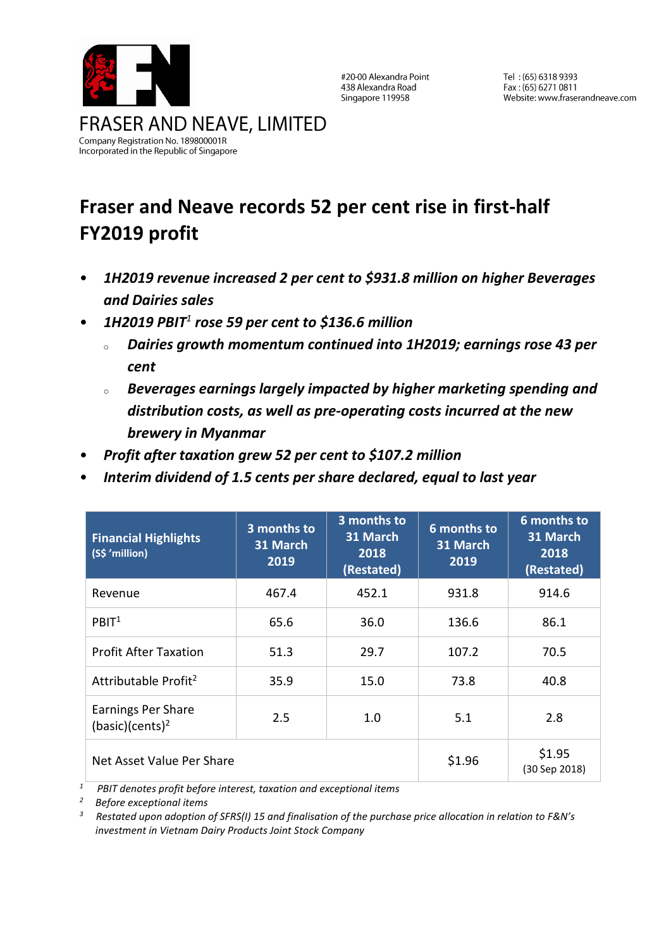

#20-00 Alexandra Point 438 Alexandra Road Singapore 119958

Tel: (65) 6318 9393 Fax: (65) 6271 0811 Website: www.fraserandneave.com

# **Fraser and Neave records 52 per cent rise in first-half FY2019 profit**

- *1H2019 revenue increased 2 per cent to \$931.8 million on higher Beverages and Dairies sales*
- *1H2019 PBIT<sup>1</sup> rose 59 per cent to \$136.6 million*
	- <sup>o</sup> *Dairies growth momentum continued into 1H2019; earnings rose 43 per cent*
	- <sup>o</sup> *Beverages earnings largely impacted by higher marketing spending and distribution costs, as well as pre-operating costs incurred at the new brewery in Myanmar*
- *Profit after taxation grew 52 per cent to \$107.2 million*
- *Interim dividend of 1.5 cents per share declared, equal to last year*

| <b>Financial Highlights</b><br>(S\$ 'million)            | 3 months to<br>31 March<br>2019 | 3 months to<br>31 March<br>2018<br>(Restated) | 6 months to<br>31 March<br>2019 | 6 months to<br>31 March<br>2018<br>(Restated) |
|----------------------------------------------------------|---------------------------------|-----------------------------------------------|---------------------------------|-----------------------------------------------|
| Revenue                                                  | 467.4                           | 452.1                                         | 931.8                           | 914.6                                         |
| PBIT <sup>1</sup>                                        | 65.6                            | 36.0                                          | 136.6                           | 86.1                                          |
| <b>Profit After Taxation</b>                             | 51.3                            | 29.7                                          | 107.2                           | 70.5                                          |
| Attributable Profit <sup>2</sup>                         | 35.9                            | 15.0                                          | 73.8                            | 40.8                                          |
| <b>Earnings Per Share</b><br>(basic)(cents) <sup>2</sup> | 2.5                             | 1.0                                           | 5.1                             | 2.8                                           |
| Net Asset Value Per Share                                |                                 |                                               | \$1.96                          | \$1.95<br>(30 Sep 2018)                       |

*<sup>1</sup> PBIT denotes profit before interest, taxation and exceptional items* 

*<sup>2</sup> Before exceptional items*

*3 Restated upon adoption of SFRS(I) 15 and finalisation of the purchase price allocation in relation to F&N's investment in Vietnam Dairy Products Joint Stock Company*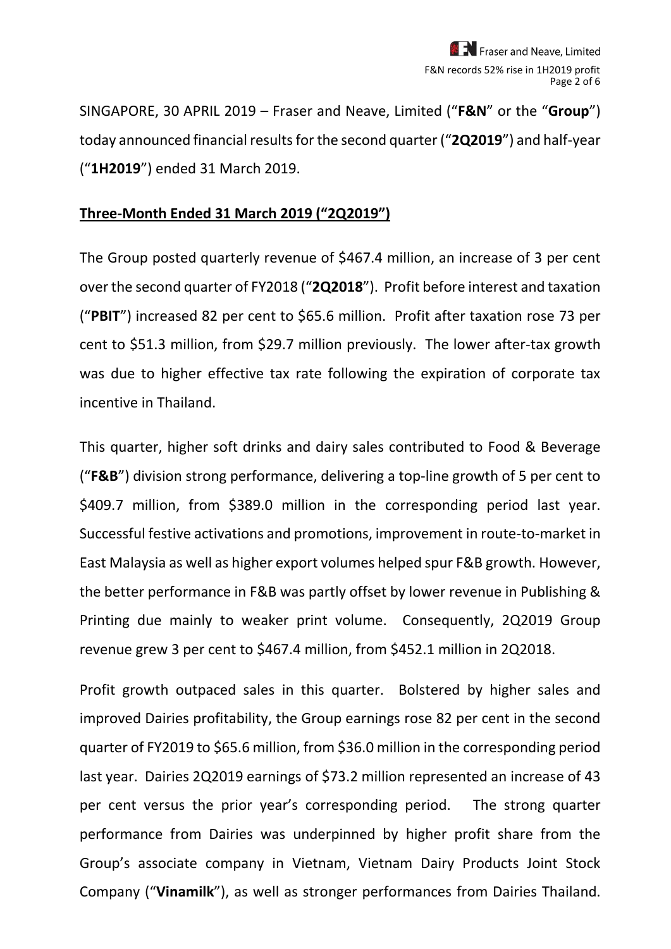SINGAPORE, 30 APRIL 2019 – Fraser and Neave, Limited ("**F&N**" or the "**Group**") today announced financial results for the second quarter ("**2Q2019**") and half-year ("**1H2019**") ended 31 March 2019.

#### **Three-Month Ended 31 March 2019 ("2Q2019")**

The Group posted quarterly revenue of \$467.4 million, an increase of 3 per cent over the second quarter of FY2018 ("**2Q2018**"). Profit before interest and taxation ("**PBIT**") increased 82 per cent to \$65.6 million. Profit after taxation rose 73 per cent to \$51.3 million, from \$29.7 million previously. The lower after-tax growth was due to higher effective tax rate following the expiration of corporate tax incentive in Thailand.

This quarter, higher soft drinks and dairy sales contributed to Food & Beverage ("**F&B**") division strong performance, delivering a top-line growth of 5 per cent to \$409.7 million, from \$389.0 million in the corresponding period last year. Successful festive activations and promotions, improvement in route-to-market in East Malaysia as well as higher export volumes helped spur F&B growth. However, the better performance in F&B was partly offset by lower revenue in Publishing & Printing due mainly to weaker print volume. Consequently, 2Q2019 Group revenue grew 3 per cent to \$467.4 million, from \$452.1 million in 2Q2018.

Profit growth outpaced sales in this quarter. Bolstered by higher sales and improved Dairies profitability, the Group earnings rose 82 per cent in the second quarter of FY2019 to \$65.6 million, from \$36.0 million in the corresponding period last year. Dairies 2Q2019 earnings of \$73.2 million represented an increase of 43 per cent versus the prior year's corresponding period. The strong quarter performance from Dairies was underpinned by higher profit share from the Group's associate company in Vietnam, Vietnam Dairy Products Joint Stock Company ("**Vinamilk**"), as well as stronger performances from Dairies Thailand.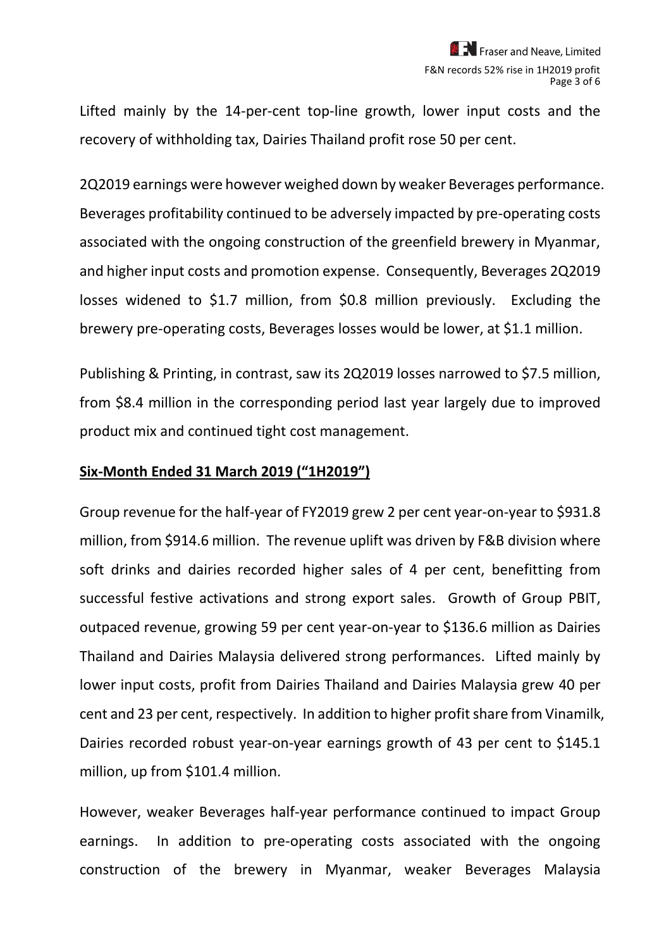Lifted mainly by the 14-per-cent top-line growth, lower input costs and the recovery of withholding tax, Dairies Thailand profit rose 50 per cent.

2Q2019 earnings were however weighed down by weaker Beverages performance. Beverages profitability continued to be adversely impacted by pre-operating costs associated with the ongoing construction of the greenfield brewery in Myanmar, and higher input costs and promotion expense. Consequently, Beverages 2Q2019 losses widened to \$1.7 million, from \$0.8 million previously. Excluding the brewery pre-operating costs, Beverages losses would be lower, at \$1.1 million.

Publishing & Printing, in contrast, saw its 2Q2019 losses narrowed to \$7.5 million, from \$8.4 million in the corresponding period last year largely due to improved product mix and continued tight cost management.

#### **Six-Month Ended 31 March 2019 ("1H2019")**

Group revenue for the half-year of FY2019 grew 2 per cent year-on-year to \$931.8 million, from \$914.6 million. The revenue uplift was driven by F&B division where soft drinks and dairies recorded higher sales of 4 per cent, benefitting from successful festive activations and strong export sales. Growth of Group PBIT, outpaced revenue, growing 59 per cent year-on-year to \$136.6 million as Dairies Thailand and Dairies Malaysia delivered strong performances. Lifted mainly by lower input costs, profit from Dairies Thailand and Dairies Malaysia grew 40 per cent and 23 per cent, respectively. In addition to higher profit share from Vinamilk, Dairies recorded robust year-on-year earnings growth of 43 per cent to \$145.1 million, up from \$101.4 million.

However, weaker Beverages half-year performance continued to impact Group earnings. In addition to pre-operating costs associated with the ongoing construction of the brewery in Myanmar, weaker Beverages Malaysia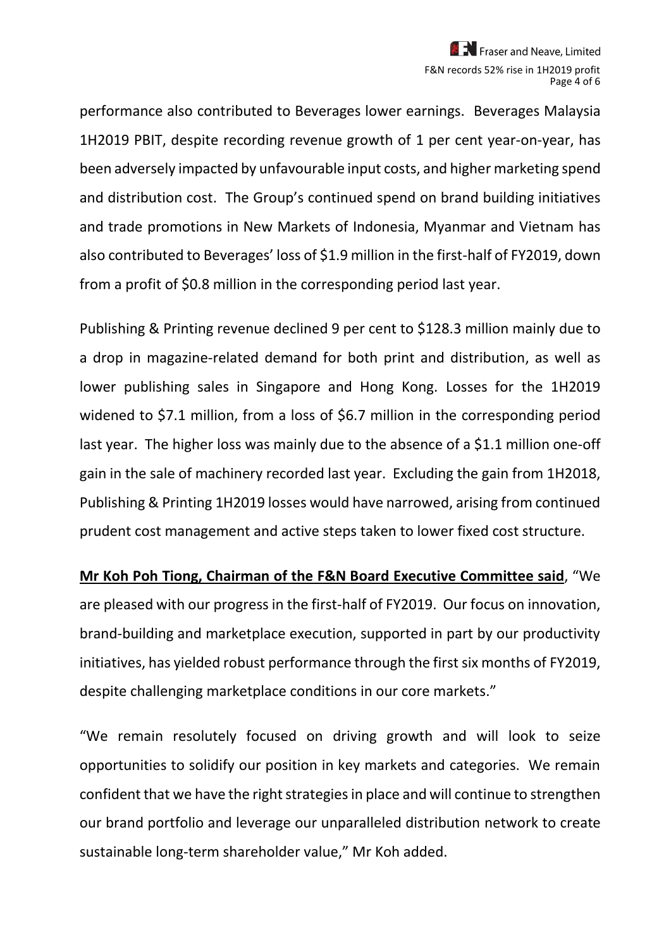performance also contributed to Beverages lower earnings. Beverages Malaysia 1H2019 PBIT, despite recording revenue growth of 1 per cent year-on-year, has been adversely impacted by unfavourable input costs, and higher marketing spend and distribution cost. The Group's continued spend on brand building initiatives and trade promotions in New Markets of Indonesia, Myanmar and Vietnam has also contributed to Beverages' loss of \$1.9 million in the first-half of FY2019, down from a profit of \$0.8 million in the corresponding period last year.

Publishing & Printing revenue declined 9 per cent to \$128.3 million mainly due to a drop in magazine-related demand for both print and distribution, as well as lower publishing sales in Singapore and Hong Kong. Losses for the 1H2019 widened to \$7.1 million, from a loss of \$6.7 million in the corresponding period last year. The higher loss was mainly due to the absence of a \$1.1 million one-off gain in the sale of machinery recorded last year. Excluding the gain from 1H2018, Publishing & Printing 1H2019 losses would have narrowed, arising from continued prudent cost management and active steps taken to lower fixed cost structure.

**Mr Koh Poh Tiong, Chairman of the F&N Board Executive Committee said**, "We are pleased with our progress in the first-half of FY2019. Our focus on innovation, brand-building and marketplace execution, supported in part by our productivity initiatives, has yielded robust performance through the first six months of FY2019, despite challenging marketplace conditions in our core markets."

"We remain resolutely focused on driving growth and will look to seize opportunities to solidify our position in key markets and categories. We remain confident that we have the right strategies in place and will continue to strengthen our brand portfolio and leverage our unparalleled distribution network to create sustainable long-term shareholder value," Mr Koh added.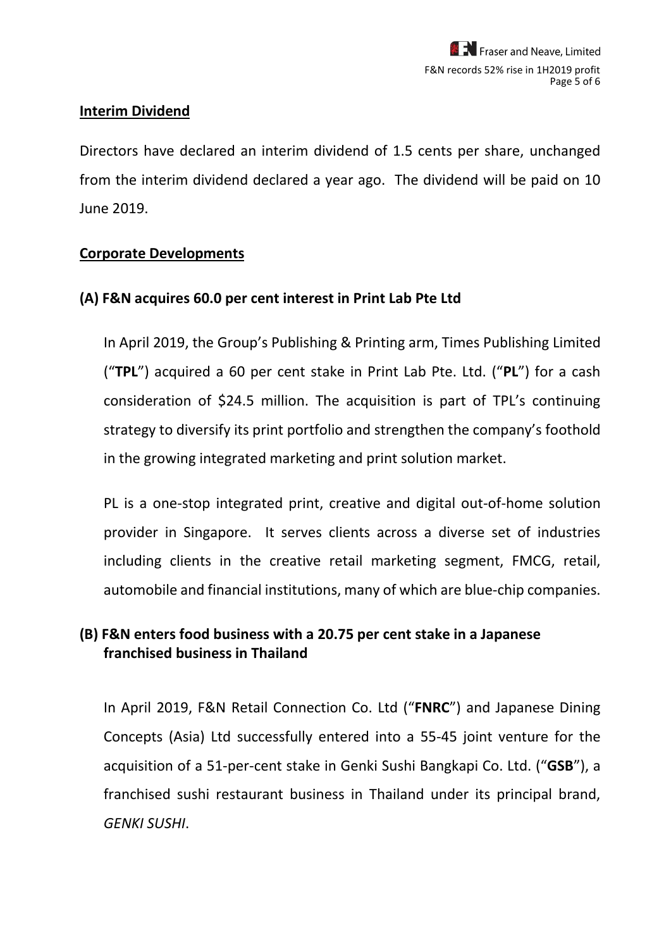### **Interim Dividend**

Directors have declared an interim dividend of 1.5 cents per share, unchanged from the interim dividend declared a year ago. The dividend will be paid on 10 June 2019.

### **Corporate Developments**

### **(A) F&N acquires 60.0 per cent interest in Print Lab Pte Ltd**

In April 2019, the Group's Publishing & Printing arm, Times Publishing Limited ("**TPL**") acquired a 60 per cent stake in Print Lab Pte. Ltd. ("**PL**") for a cash consideration of \$24.5 million. The acquisition is part of TPL's continuing strategy to diversify its print portfolio and strengthen the company's foothold in the growing integrated marketing and print solution market.

PL is a one-stop integrated print, creative and digital out-of-home solution provider in Singapore. It serves clients across a diverse set of industries including clients in the creative retail marketing segment, FMCG, retail, automobile and financial institutions, many of which are blue-chip companies.

## **(B) F&N enters food business with a 20.75 per cent stake in a Japanese franchised business in Thailand**

In April 2019, F&N Retail Connection Co. Ltd ("**FNRC**") and Japanese Dining Concepts (Asia) Ltd successfully entered into a 55-45 joint venture for the acquisition of a 51-per-cent stake in Genki Sushi Bangkapi Co. Ltd. ("**GSB**"), a franchised sushi restaurant business in Thailand under its principal brand, *GENKI SUSHI*.